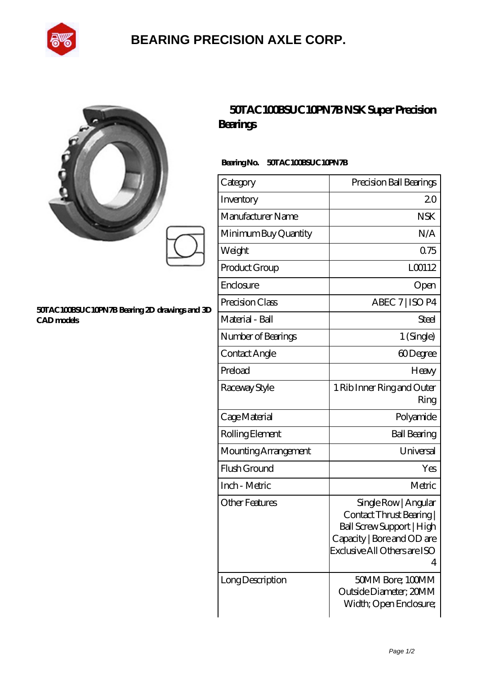

## **[BEARING PRECISION AXLE CORP.](https://jingtuzong.top)**

| ŷ |  |  |
|---|--|--|
| y |  |  |
|   |  |  |

#### **[50TAC100BSUC10PN7B Bearing 2D drawings and 3D](https://jingtuzong.top/pic-805355.html) [CAD models](https://jingtuzong.top/pic-805355.html)**

## **[50TAC100BSUC10PN7B NSK Super Precision](https://jingtuzong.top/super-precision-bearings/50tac100bsuc10pn7b.html) [Bearings](https://jingtuzong.top/super-precision-bearings/50tac100bsuc10pn7b.html)**

### **Bearing No. 50TAC100BSUC10PN7B**

| Category              | Precision Ball Bearings                                                                                                                          |
|-----------------------|--------------------------------------------------------------------------------------------------------------------------------------------------|
| Inventory             | 20                                                                                                                                               |
| Manufacturer Name     | <b>NSK</b>                                                                                                                                       |
| Minimum Buy Quantity  | N/A                                                                                                                                              |
| Weight                | 0.75                                                                                                                                             |
| Product Group         | L00112                                                                                                                                           |
| Enclosure             | Open                                                                                                                                             |
| Precision Class       | ABEC 7   ISO P4                                                                                                                                  |
| Material - Ball       | Steel                                                                                                                                            |
| Number of Bearings    | 1 (Single)                                                                                                                                       |
| Contact Angle         | 60Degree                                                                                                                                         |
| Preload               | Heavy                                                                                                                                            |
| Raceway Style         | 1 Rib Inner Ring and Outer<br>Ring                                                                                                               |
| Cage Material         | Polyamide                                                                                                                                        |
| Rolling Element       | <b>Ball Bearing</b>                                                                                                                              |
| Mounting Arrangement  | Universal                                                                                                                                        |
| Flush Ground          | Yes                                                                                                                                              |
| Inch - Metric         | Metric                                                                                                                                           |
| <b>Other Features</b> | Single Row   Angular<br>Contact Thrust Bearing  <br>Ball Screw Support   High<br>Capacity   Bore and OD are<br>Exclusive All Others are ISO<br>4 |
| Long Description      | 50MM Bore; 100MM<br>Outside Diameter; 20MM<br>Width; Open Enclosure;                                                                             |